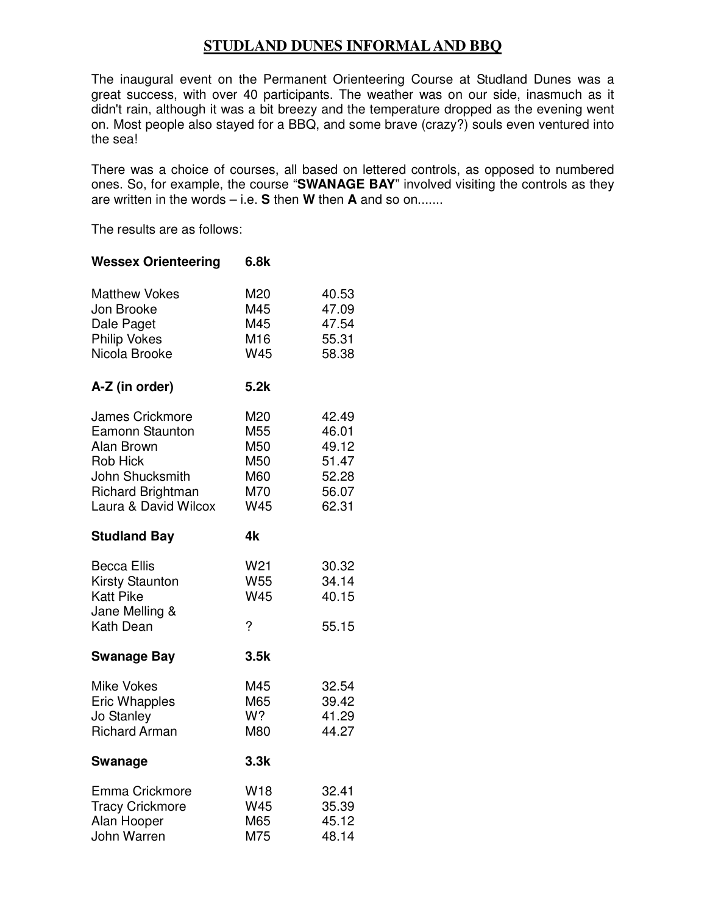## **STUDLAND DUNES INFORMAL AND BBQ**

The inaugural event on the Permanent Orienteering Course at Studland Dunes was a great success, with over 40 participants. The weather was on our side, inasmuch as it didn't rain, although it was a bit breezy and the temperature dropped as the evening went on. Most people also stayed for a BBQ, and some brave (crazy?) souls even ventured into the sea!

There was a choice of courses, all based on lettered controls, as opposed to numbered ones. So, for example, the course "**SWANAGE BAY**" involved visiting the controls as they are written in the words – i.e. **S** then **W** then **A** and so on.......

The results are as follows:

**Wessex Orienteering 6.8k** 

| <b>Matthew Vokes</b><br>Jon Brooke<br>Dale Paget<br><b>Philip Vokes</b><br>Nicola Brooke                                                                 | M20<br>M45<br>M45<br>M16<br>W45                           | 40.53<br>47.09<br>47.54<br>55.31<br>58.38                   |
|----------------------------------------------------------------------------------------------------------------------------------------------------------|-----------------------------------------------------------|-------------------------------------------------------------|
| A-Z (in order)                                                                                                                                           | 5.2k                                                      |                                                             |
| <b>James Crickmore</b><br><b>Eamonn Staunton</b><br>Alan Brown<br><b>Rob Hick</b><br>John Shucksmith<br><b>Richard Brightman</b><br>Laura & David Wilcox | M20<br>M <sub>55</sub><br>M50<br>M50<br>M60<br>M70<br>W45 | 42.49<br>46.01<br>49.12<br>51.47<br>52.28<br>56.07<br>62.31 |
| <b>Studland Bay</b>                                                                                                                                      | 4k                                                        |                                                             |
| <b>Becca Ellis</b><br><b>Kirsty Staunton</b><br><b>Katt Pike</b><br>Jane Melling &<br>Kath Dean                                                          | W <sub>21</sub><br>W55<br>W45<br>$\overline{?}$           | 30.32<br>34.14<br>40.15<br>55.15                            |
| <b>Swanage Bay</b>                                                                                                                                       | 3.5k                                                      |                                                             |
| <b>Mike Vokes</b><br><b>Eric Whapples</b><br>Jo Stanley<br><b>Richard Arman</b>                                                                          | M45<br>M65<br>W?<br>M80                                   | 32.54<br>39.42<br>41.29<br>44.27                            |
| Swanage                                                                                                                                                  | 3.3k                                                      |                                                             |
| Emma Crickmore<br><b>Tracy Crickmore</b><br>Alan Hooper<br>John Warren                                                                                   | W18<br>W45<br>M65<br>M75                                  | 32.41<br>35.39<br>45.12<br>48.14                            |